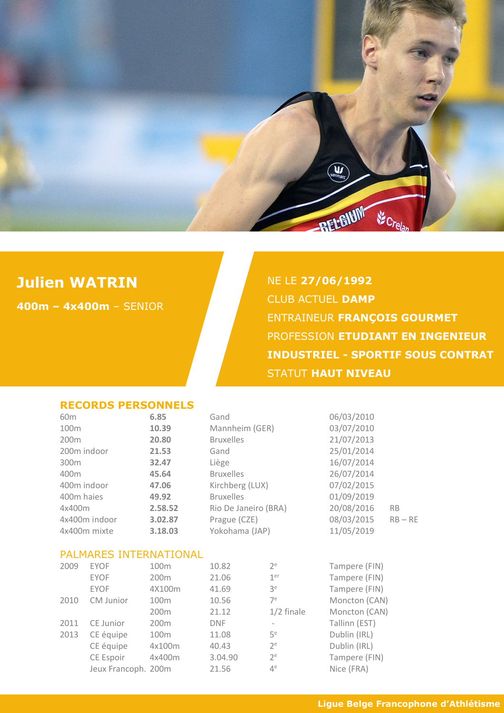

# **Julien WATRIN**

**400m – 4x400m** – SENIOR

NE LE **27/06/1992** CLUB ACTUEL **DAMP** ENTRAINEUR **FRANÇOIS GOURMET** PROFESSION **ETUDIANT EN INGENIEUR INDUSTRIEL - SPORTIF SOUS CONTRAT** STATUT **HAUT NIVEAU**

#### **RECORDS PERSONNELS**

| 60 <sub>m</sub> |                        | 6.85             | Gand             |                          | 06/03/2010    |           |
|-----------------|------------------------|------------------|------------------|--------------------------|---------------|-----------|
| 100m            |                        | 10.39            | Mannheim (GER)   |                          | 03/07/2010    |           |
| 200m            |                        | 20.80            | <b>Bruxelles</b> |                          | 21/07/2013    |           |
| 200m indoor     |                        | 21.53            | Gand             |                          | 25/01/2014    |           |
| 300m            |                        | 32.47            | Liège            |                          | 16/07/2014    |           |
| 400m            |                        | 45.64            | <b>Bruxelles</b> |                          | 26/07/2014    |           |
| 400m indoor     |                        | 47.06            | Kirchberg (LUX)  |                          | 07/02/2015    |           |
| 400m haies      |                        | 49.92            | <b>Bruxelles</b> |                          | 01/09/2019    |           |
| 4x400m          |                        | 2.58.52          |                  | Rio De Janeiro (BRA)     |               | <b>RB</b> |
|                 | 4x400m indoor          | 3.02.87          | Prague (CZE)     | 20/08/2016<br>08/03/2015 |               | $RB - RE$ |
| 4x400m mixte    |                        | 3.18.03          | Yokohama (JAP)   |                          | 11/05/2019    |           |
|                 | PALMARES INTERNATIONAL |                  |                  |                          |               |           |
| 2009            | <b>EYOF</b>            | 100m             | 10.82            | $2^e$                    | Tampere (FIN) |           |
|                 | <b>EYOF</b>            | 200m             | 21.06            | 1 <sup>er</sup>          | Tampere (FIN) |           |
|                 | <b>EYOF</b>            | 4X100m           | 41.69            | 3 <sup>e</sup>           | Tampere (FIN) |           |
| 2010            | CM Junior              | 100m             | 10.56            | $7^e$                    | Moncton (CAN) |           |
|                 |                        | 200m             | 21.12            | $1/2$ finale             | Moncton (CAN) |           |
| 2011            | CE Junior              | 200 <sub>m</sub> | <b>DNF</b>       | $\overline{\phantom{a}}$ | Tallinn (EST) |           |
| 2013            | CE équipe              | 100m             | 11.08            | $5^e$                    | Dublin (IRL)  |           |
|                 | CE équipe              | 4x100m           | 40.43            | $2^e$                    | Dublin (IRL)  |           |
|                 | CE Espoir              | 4x400m           | 3.04.90          | $2^e$                    | Tampere (FIN) |           |
|                 | Jeux Francoph. 200m    |                  | 21.56            | $4^e$                    | Nice (FRA)    |           |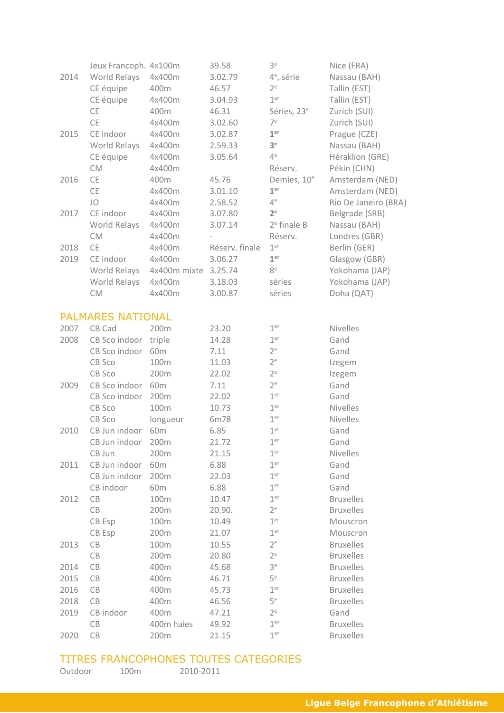|      | Jeux Francoph. 4x100m    |                 | 39.58          | 3 <sup>e</sup>          | Nice (FRA)           |
|------|--------------------------|-----------------|----------------|-------------------------|----------------------|
| 2014 | World Relays             | 4x400m          | 3.02.79        | 4 <sup>e</sup> , série  | Nassau (BAH)         |
|      | CE équipe                | 400m            | 46.57          | 2 <sup>e</sup>          | Tallin (EST)         |
|      | CE équipe                | 4x400m          | 3.04.93        | 1 <sup>er</sup>         | Tallin (EST)         |
|      | CE                       | 400m            | 46.31          | Séries, 23 <sup>e</sup> | Zurich (SUI)         |
|      | <b>CE</b>                | 4x400m          | 3.02.60        | 7 <sup>e</sup>          | Zurich (SUI)         |
| 2015 | CE indoor                | 4x400m          | 3.02.87        | 1 <sup>er</sup>         | Prague (CZE)         |
|      | World Relays             | 4x400m          | 2.59.33        | 3 <sup>e</sup>          | Nassau (BAH)         |
|      | CE équipe                | 4x400m          | 3.05.64        | $4^e$                   | Héraklion (GRE)      |
|      | <b>CM</b>                | 4x400m          |                | Réserv.                 | Pékin (CHN)          |
| 2016 | <b>CE</b>                | 400m            | 45.76          | Demies, 10 <sup>e</sup> | Amsterdam (NED)      |
|      | <b>CE</b>                | 4x400m          | 3.01.10        | 1 <sup>er</sup>         | Amsterdam (NED)      |
|      | JO                       | 4x400m          | 2.58.52        | $4^e$                   | Rio De Janeiro (BRA) |
| 2017 | CE indoor                | 4x400m          | 3.07.80        | 2 <sup>e</sup>          | Belgrade (SRB)       |
|      | World Relays             | 4x400m          | 3.07.14        | $2e$ finale B           | Nassau (BAH)         |
|      | <b>CM</b>                | 4x400m          |                | Réserv.                 | Londres (GBR)        |
| 2018 | <b>CE</b>                | 4x400m          | Réserv. finale | 1 <sup>er</sup>         | Berlin (GER)         |
| 2019 | CE indoor                | 4x400m          | 3.06.27        | 1 <sup>er</sup>         | Glasgow (GBR)        |
|      | World Relays             | 4x400m mixte    | 3.25.74        | 8e                      | Yokohama (JAP)       |
|      | World Relays             | 4x400m          | 3.18.03        | séries                  | Yokohama (JAP)       |
|      | <b>CM</b>                | 4x400m          | 3.00.87        | séries                  | Doha (QAT)           |
|      |                          |                 |                |                         |                      |
|      | <b>PALMARES NATIONAL</b> |                 |                |                         |                      |
| 2007 | CB Cad                   | 200m            | 23.20          | 1 <sup>er</sup>         | <b>Nivelles</b>      |
| 2008 | CB Sco indoor            | triple          | 14.28          | 1 <sup>er</sup>         | Gand                 |
|      | CB Sco indoor            | 60 <sub>m</sub> | 7.11           | $2^e$                   | Gand                 |
|      | CB Sco                   | 100m            | 11.03          | $2^e$                   | Izegem               |
|      | CB Sco                   | 200m            | 22.02          | $2^e$                   | Izegem               |
| 2009 | CB Sco indoor            | 60m             | 7.11           | $2^e$                   | Gand                 |
|      | CB Sco indoor            | 200m            | 22.02          | 1 <sup>er</sup>         | Gand                 |
|      | CB Sco                   | 100m            | 10.73          | 1 <sup>er</sup>         | Nivelles             |
|      | CB Sco                   | longueur        | 6m78           | 1 <sup>er</sup>         | <b>Nivelles</b>      |
| 2010 | CB Jun indoor            | 60m             | 6.85           | 1 <sup>er</sup>         | Gand                 |
|      | CB Jun indoor            | 200m            | 21.72          | 1 <sup>er</sup>         | Gand                 |
|      | CB Jun                   | 200m            | 21.15          | 1 <sup>er</sup>         | Nivelles             |
| 2011 | CB Jun indoor            | 60 <sub>m</sub> | 6.88           | 1 <sup>er</sup>         | Gand                 |
|      | CB Jun indoor            | 200m            | 22.03          | 1 <sup>er</sup>         | Gand                 |
|      | CB indoor                | 60 <sub>m</sub> | 6.88           | 1 <sup>er</sup>         | Gand                 |
| 2012 | CB                       | 100m            | 10.47          | 1 <sup>er</sup>         | <b>Bruxelles</b>     |
|      | CB                       | 200m            | 20.90.         | $2^e$                   | <b>Bruxelles</b>     |
|      | CB Esp                   | 100m            | 10.49          | 1 <sup>er</sup>         | Mouscron             |
|      | CB Esp                   | 200m            | 21.07          | 1 <sup>er</sup>         | Mouscron             |
| 2013 | CB                       | 100m            | 10.55          | $2^e$                   | <b>Bruxelles</b>     |
|      | $\mathsf{CB}$            | 200m            | 20.80          | $2^e$                   | <b>Bruxelles</b>     |
| 2014 | $\mathsf{CB}$            | 400m            | 45.68          | 3 <sup>e</sup>          | <b>Bruxelles</b>     |
| 2015 | CB                       | 400m            | 46.71          | 5 <sup>e</sup>          | <b>Bruxelles</b>     |
| 2016 | CB                       | 400m            | 45.73          | 1 <sup>er</sup>         | <b>Bruxelles</b>     |
| 2018 | CB                       | 400m            | 46.56          | 5 <sup>e</sup>          | <b>Bruxelles</b>     |
| 2019 | CB indoor                | 400m            | 47.21          | $2^e$                   | Gand                 |
|      | CB                       | 400m haies      | 49.92          | 1 <sup>er</sup>         | <b>Bruxelles</b>     |
| 2020 | CB                       | 200m            | 21.15          | 1 <sup>er</sup>         | <b>Bruxelles</b>     |
|      |                          |                 |                |                         |                      |

## TITRES FRANCOPHONES TOUTES CATEGORIES

| Outdoor | 100 <sub>m</sub> | 2010-2011 |
|---------|------------------|-----------|
|---------|------------------|-----------|